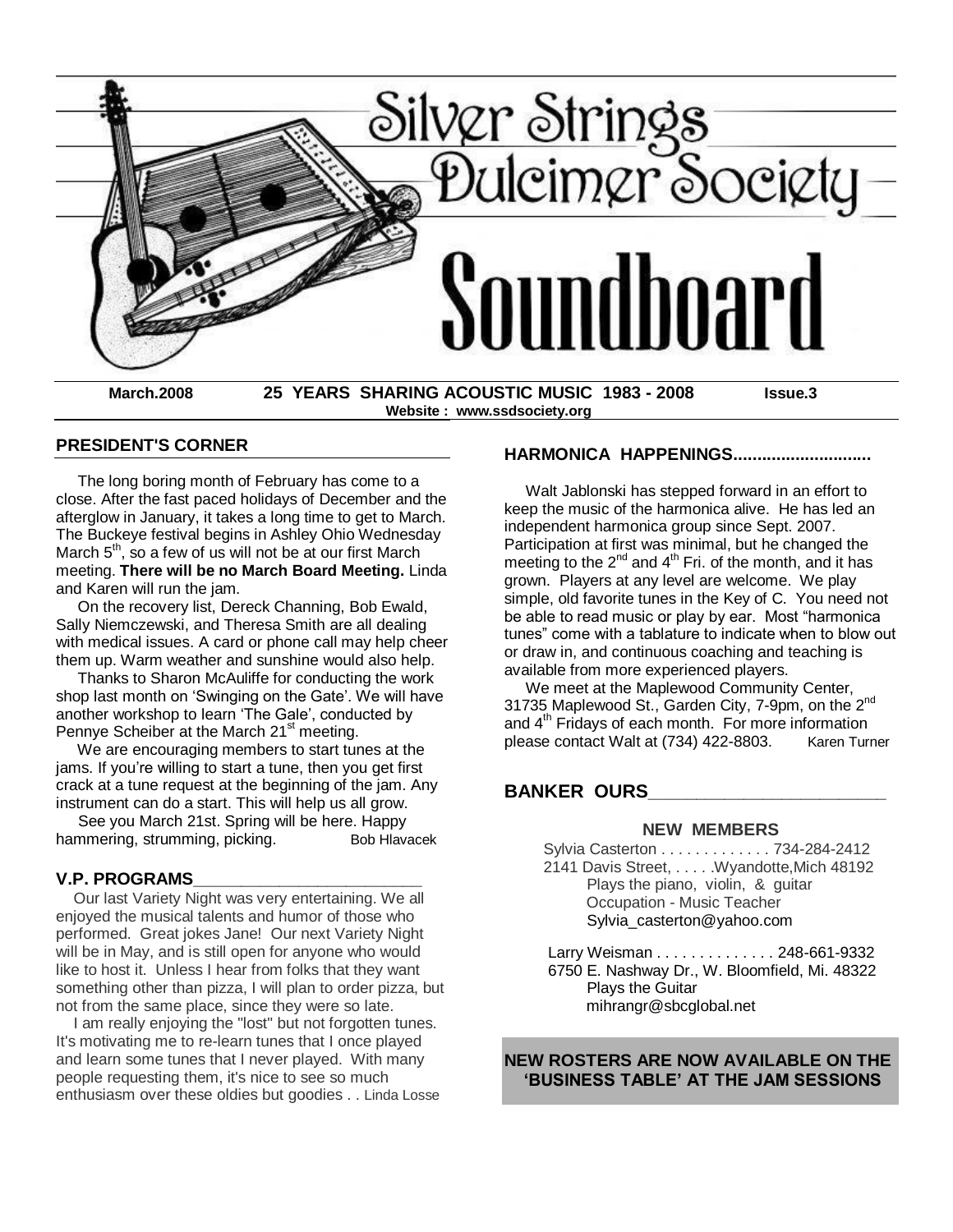

 **Website : www.ssdsociety.org**

#### **PRESIDENT'S CORNER**

 The long boring month of February has come to a close. After the fast paced holidays of December and the afterglow in January, it takes a long time to get to March. The Buckeye festival begins in Ashley Ohio Wednesday March  $5<sup>th</sup>$ , so a few of us will not be at our first March meeting. **There will be no March Board Meeting.** Linda and Karen will run the jam.

 On the recovery list, Dereck Channing, Bob Ewald, Sally Niemczewski, and Theresa Smith are all dealing with medical issues. A card or phone call may help cheer them up. Warm weather and sunshine would also help.

 Thanks to Sharon McAuliffe for conducting the work shop last month on 'Swinging on the Gate'. We will have another workshop to learn 'The Gale', conducted by Pennye Scheiber at the March 21<sup>st</sup> meeting.

 We are encouraging members to start tunes at the jams. If you're willing to start a tune, then you get first crack at a tune request at the beginning of the jam. Any instrument can do a start. This will help us all grow.

 See you March 21st. Spring will be here. Happy hammering, strumming, picking. Bob Hlavacek

### **V.P. PROGRAMS\_\_\_\_\_\_\_\_\_\_\_\_\_\_\_\_\_\_\_\_\_\_\_\_**

 Our last Variety Night was very entertaining. We all enjoyed the musical talents and humor of those who performed. Great jokes Jane! Our next Variety Night will be in May, and is still open for anyone who would like to host it. Unless I hear from folks that they want something other than pizza, I will plan to order pizza, but not from the same place, since they were so late.

 I am really enjoying the "lost" but not forgotten tunes. It's motivating me to re-learn tunes that I once played and learn some tunes that I never played. With many people requesting them, it's nice to see so much enthusiasm over these oldies but goodies . . Linda Losse

#### **HARMONICA HAPPENINGS.............................**

 Walt Jablonski has stepped forward in an effort to keep the music of the harmonica alive. He has led an independent harmonica group since Sept. 2007. Participation at first was minimal, but he changed the meeting to the  $2^{nd}$  and  $4^{th}$  Fri. of the month, and it has grown. Players at any level are welcome. We play simple, old favorite tunes in the Key of C. You need not be able to read music or play by ear. Most "harmonica tunes" come with a tablature to indicate when to blow out or draw in, and continuous coaching and teaching is available from more experienced players.

 We meet at the Maplewood Community Center, 31735 Maplewood St., Garden City, 7-9pm, on the 2<sup>nd</sup> and 4<sup>th</sup> Fridays of each month. For more information please contact Walt at (734) 422-8803. Karen Turner

## **BANKER OURS\_\_\_\_\_\_\_\_\_\_\_\_\_\_\_\_\_\_\_\_\_\_\_\_\_**

#### **NEW MEMBERS**

 Sylvia Casterton . . . . . . . . . . . . . 734-284-2412 2141 Davis Street, .... . Wyandotte, Mich 48192 Plays the piano, violin, & guitar Occupation - Music Teacher [Sylvia\\_casterton@yahoo.com](http://us.f810.mail.yahoo.com/ym/Compose?To=Sylvia_casterton@yahoo.com)

 Larry Weisman . . . . . . . . . . . . . . 248-661-9332 6750 E. Nashway Dr., W. Bloomfield, Mi. 48322 Plays the Guitar [mihrangr@sbcglobal.net](http://us.f810.mail.yahoo.com/ym/Compose?To=mihrangr@sbcglobal.net)

### **NEW ROSTERS ARE NOW AVAILABLE ON THE "BUSINESS TABLE" AT THE JAM SESSIONS**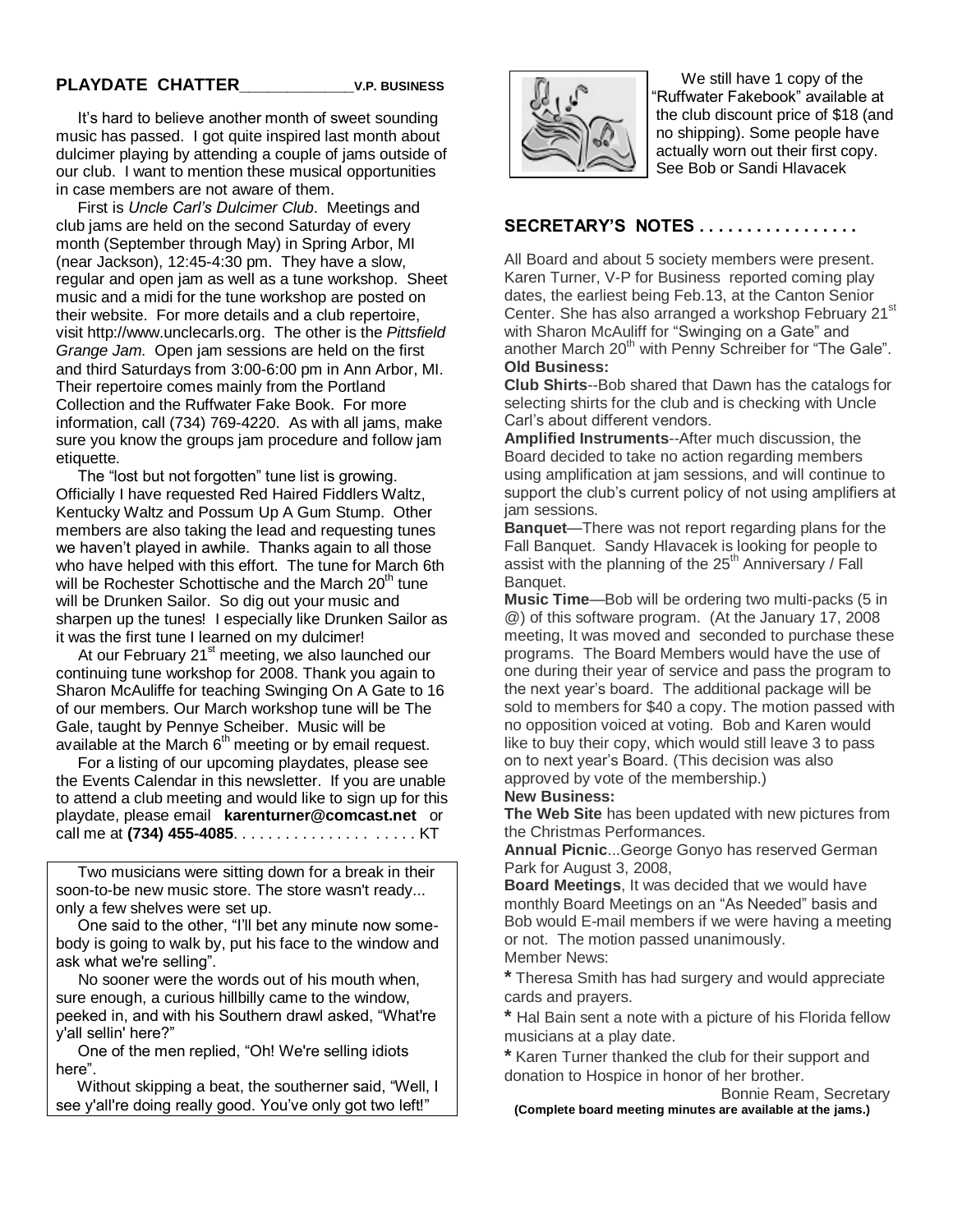## **PLAYDATE CHATTER\_\_\_\_\_\_\_\_\_\_\_\_V.P. BUSINESS**

 It's hard to believe another month of sweet sounding music has passed. I got quite inspired last month about dulcimer playing by attending a couple of jams outside of our club. I want to mention these musical opportunities in case members are not aware of them.

 First is *Uncle Carl's Dulcimer Club*. Meetings and club jams are held on the second Saturday of every month (September through May) in Spring Arbor, MI (near Jackson), 12:45-4:30 pm. They have a slow, regular and open jam as well as a tune workshop. Sheet music and a midi for the tune workshop are posted on their website. For more details and a club repertoire, visit [http://www.unclecarls.org.](http://www.unclecarls.org/) The other is the *Pittsfield Grange Jam.* Open jam sessions are held on the first and third Saturdays from 3:00-6:00 pm in Ann Arbor, MI. Their repertoire comes mainly from the Portland Collection and the Ruffwater Fake Book. For more information, call (734) 769-4220. As with all jams, make sure you know the groups jam procedure and follow jam etiquette.

The "lost but not forgotten" tune list is growing. Officially I have requested Red Haired Fiddlers Waltz, Kentucky Waltz and Possum Up A Gum Stump. Other members are also taking the lead and requesting tunes we haven't played in awhile. Thanks again to all those who have helped with this effort. The tune for March 6th will be Rochester Schottische and the March  $20<sup>th</sup>$  tune will be Drunken Sailor. So dig out your music and sharpen up the tunes! I especially like Drunken Sailor as it was the first tune I learned on my dulcimer!

At our February  $21<sup>st</sup>$  meeting, we also launched our continuing tune workshop for 2008. Thank you again to Sharon McAuliffe for teaching Swinging On A Gate to 16 of our members. Our March workshop tune will be The Gale, taught by Pennye Scheiber. Music will be available at the March  $6<sup>th</sup>$  meeting or by email request.

 For a listing of our upcoming playdates, please see the Events Calendar in this newsletter. If you are unable to attend a club meeting and would like to sign up for this playdate, please email **[karenturner@comcast.net](mailto:karenturner@comcast.net)** or call me at **(734) 455-4085**. . . . . . . . . . . . . . . . . . . . . KT

 Two musicians were sitting down for a break in their soon-to-be new music store. The store wasn't ready... only a few shelves were set up.

One said to the other, "I'll bet any minute now somebody is going to walk by, put his face to the window and ask what we're selling".

 No sooner were the words out of his mouth when, sure enough, a curious hillbilly came to the window, peeked in, and with his Southern drawl asked, "What're y'all sellin' here?‖

One of the men replied, "Oh! We're selling idiots here".

Without skipping a beat, the southerner said, "Well, I see y'all're doing really good. You've only got two left!"



We still have 1 copy of the ―Ruffwater Fakebook‖ available at the club discount price of \$18 (and no shipping). Some people have actually worn out their first copy. See Bob or Sandi Hlavacek

### **SECRETARY"S NOTES . . . . . . . . . . . . . . . . .**

All Board and about 5 society members were present. Karen Turner, V-P for Business reported coming play dates, the earliest being Feb.13, at the Canton Senior Center. She has also arranged a workshop February 21<sup>st</sup> with Sharon McAuliff for "Swinging on a Gate" and another March 20<sup>th</sup> with Penny Schreiber for "The Gale". **Old Business:**

**Club Shirts**--Bob shared that Dawn has the catalogs for selecting shirts for the club and is checking with Uncle Carl's about different vendors.

**Amplified Instruments**--After much discussion, the Board decided to take no action regarding members using amplification at jam sessions, and will continue to support the club's current policy of not using amplifiers at jam sessions.

**Banquet**—There was not report regarding plans for the Fall Banquet. Sandy Hlavacek is looking for people to assist with the planning of the  $25<sup>th</sup>$  Anniversary / Fall Banquet.

**Music Time**—Bob will be ordering two multi-packs (5 in @) of this software program. (At the January 17, 2008 meeting, It was moved and seconded to purchase these programs. The Board Members would have the use of one during their year of service and pass the program to the next year's board. The additional package will be sold to members for \$40 a copy. The motion passed with no opposition voiced at voting. Bob and Karen would like to buy their copy, which would still leave 3 to pass on to next year's Board. (This decision was also approved by vote of the membership.)

#### **New Business:**

**The Web Site** has been updated with new pictures from the Christmas Performances.

**Annual Picnic**...George Gonyo has reserved German Park for August 3, 2008,

**Board Meetings**, It was decided that we would have monthly Board Meetings on an "As Needed" basis and Bob would E-mail members if we were having a meeting or not. The motion passed unanimously.

Member News:

**\*** Theresa Smith has had surgery and would appreciate cards and prayers.

**\*** Hal Bain sent a note with a picture of his Florida fellow musicians at a play date.

**\*** Karen Turner thanked the club for their support and donation to Hospice in honor of her brother.

Bonnie Ream, Secretary

 **(Complete board meeting minutes are available at the jams.)**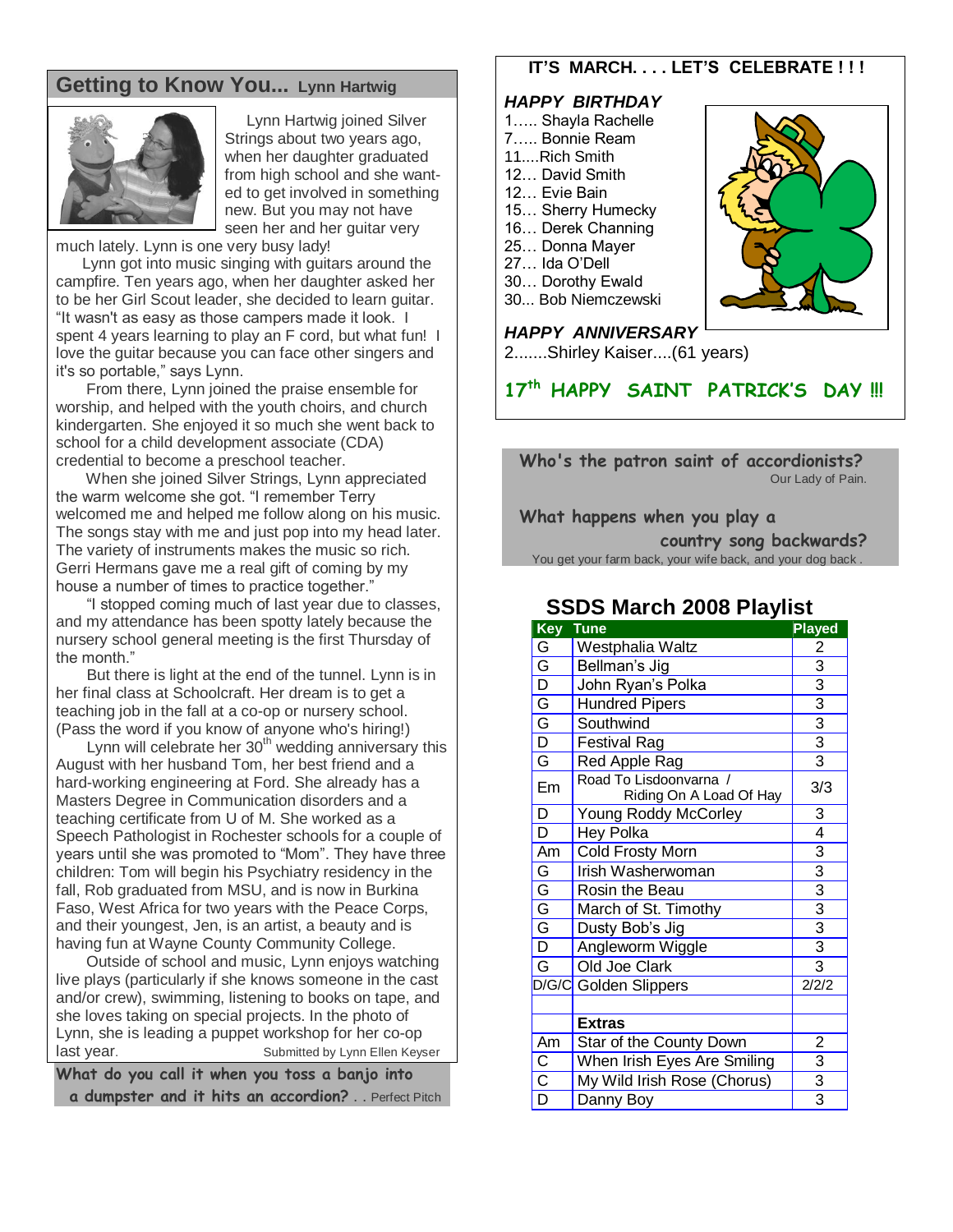# **Getting to Know You... Lynn Hartwig**



 Lynn Hartwig joined Silver Strings about two years ago, when her daughter graduated from high school and she want ed to get involved in something new. But you may not have seen her and her guitar very

much lately. Lynn is one very busy lady!

 Lynn got into music singing with guitars around the campfire. Ten years ago, when her daughter asked her to be her Girl Scout leader, she decided to learn guitar. "It wasn't as easy as those campers made it look. I spent 4 years learning to play an F cord, but what fun! I love the guitar because you can face other singers and it's so portable," says Lynn.

 From there, Lynn joined the praise ensemble for worship, and helped with the youth choirs, and church kindergarten. She enjoyed it so much she went back to school for a child development associate (CDA) credential to become a preschool teacher.

 When she joined Silver Strings, Lynn appreciated the warm welcome she got. "I remember Terry welcomed me and helped me follow along on his music. The songs stay with me and just pop into my head later. The variety of instruments makes the music so rich. Gerri Hermans gave me a real gift of coming by my house a number of times to practice together."

"I stopped coming much of last year due to classes, and my attendance has been spotty lately because the nursery school general meeting is the first Thursday of the month."

 But there is light at the end of the tunnel. Lynn is in her final class at Schoolcraft. Her dream is to get a teaching job in the fall at a co-op or nursery school. (Pass the word if you know of anyone who's hiring!)

Lynn will celebrate her 30<sup>th</sup> wedding anniversary this August with her husband Tom, her best friend and a hard-working engineering at Ford. She already has a Masters Degree in Communication disorders and a teaching certificate from U of M. She worked as a Speech Pathologist in Rochester schools for a couple of years until she was promoted to "Mom". They have three children: Tom will begin his Psychiatry residency in the fall, Rob graduated from MSU, and is now in Burkina Faso, West Africa for two years with the Peace Corps, and their youngest, Jen, is an artist, a beauty and is having fun at Wayne County Community College.

 Outside of school and music, Lynn enjoys watching live plays (particularly if she knows someone in the cast and/or crew), swimming, listening to books on tape, and she loves taking on special projects. In the photo of Lynn, she is leading a puppet workshop for her co-op last year. The Submitted by Lynn Ellen Keyser

**What do you call it when you toss a banjo into a dumpster and it hits an accordion?** . . Perfect Pitch

# **IT"S MARCH. . . . LET"S CELEBRATE ! ! !**

### *HAPPY BIRTHDAY*

- 1….. Shayla Rachelle
- 7….. Bonnie Ream
- 11....Rich Smith
- 12… David Smith
- 12… Evie Bain
- 15… Sherry Humecky
- 16… Derek Channing
- 25… Donna Mayer
- 27… Ida O'Dell
- 30… Dorothy Ewald
- 30... Bob Niemczewski

# *HAPPY ANNIVERSARY*

2.......Shirley Kaiser....(61 years)

**17th HAPPY SAINT PATRICK'S DAY !!!**

### **Who's the patron saint of accordionists?** Our Lady of Pain.

 **What happens when you play a** 

 **country song backwards?** You get your farm back, your wife back, and your dog back .

# **SSDS March 2008 Playlist**

| Key                     | Tune                                              | <b>Played</b>                                           |
|-------------------------|---------------------------------------------------|---------------------------------------------------------|
|                         | Westphalia Waltz                                  | $\overline{2}$                                          |
|                         | Bellman's Jig                                     |                                                         |
|                         | John Ryan's Polka                                 | $\frac{3}{3}$ $\frac{3}{3}$ $\frac{3}{3}$               |
|                         | <b>Hundred Pipers</b>                             |                                                         |
|                         | Southwind                                         |                                                         |
|                         | <b>Festival Rag</b>                               |                                                         |
|                         | Red Apple Rag                                     |                                                         |
| Em                      | Road To Lisdoonvarna /<br>Riding On A Load Of Hay | 3/3                                                     |
| $\overline{D}$          | Young Roddy McCorley                              | 3                                                       |
| $\overline{\mathsf{D}}$ | <b>Hey Polka</b>                                  | $\overline{4}$                                          |
| Am                      | Cold Frosty Morn                                  |                                                         |
| $\frac{G}{G}$           | Irish Washerwoman                                 | $\frac{3}{3}$ $\frac{3}{3}$ $\frac{3}{3}$ $\frac{3}{3}$ |
|                         | Rosin the Beau                                    |                                                         |
|                         | March of St. Timothy                              |                                                         |
|                         | Dusty Bob's Jig                                   |                                                         |
|                         | Angleworm Wiggle                                  |                                                         |
| $\overline{\mathsf{G}}$ | Old Joe Clark                                     |                                                         |
| D/G/C                   | <b>Golden Slippers</b>                            | 2/2/2                                                   |
|                         |                                                   |                                                         |
|                         | <b>Extras</b>                                     |                                                         |
| Am                      | Star of the County Down                           | $\overline{2}$                                          |
| $rac{C}{D}$             | When Irish Eyes Are Smiling                       | $\frac{3}{3}$                                           |
|                         | My Wild Irish Rose (Chorus)                       |                                                         |
|                         | Danny Boy                                         |                                                         |

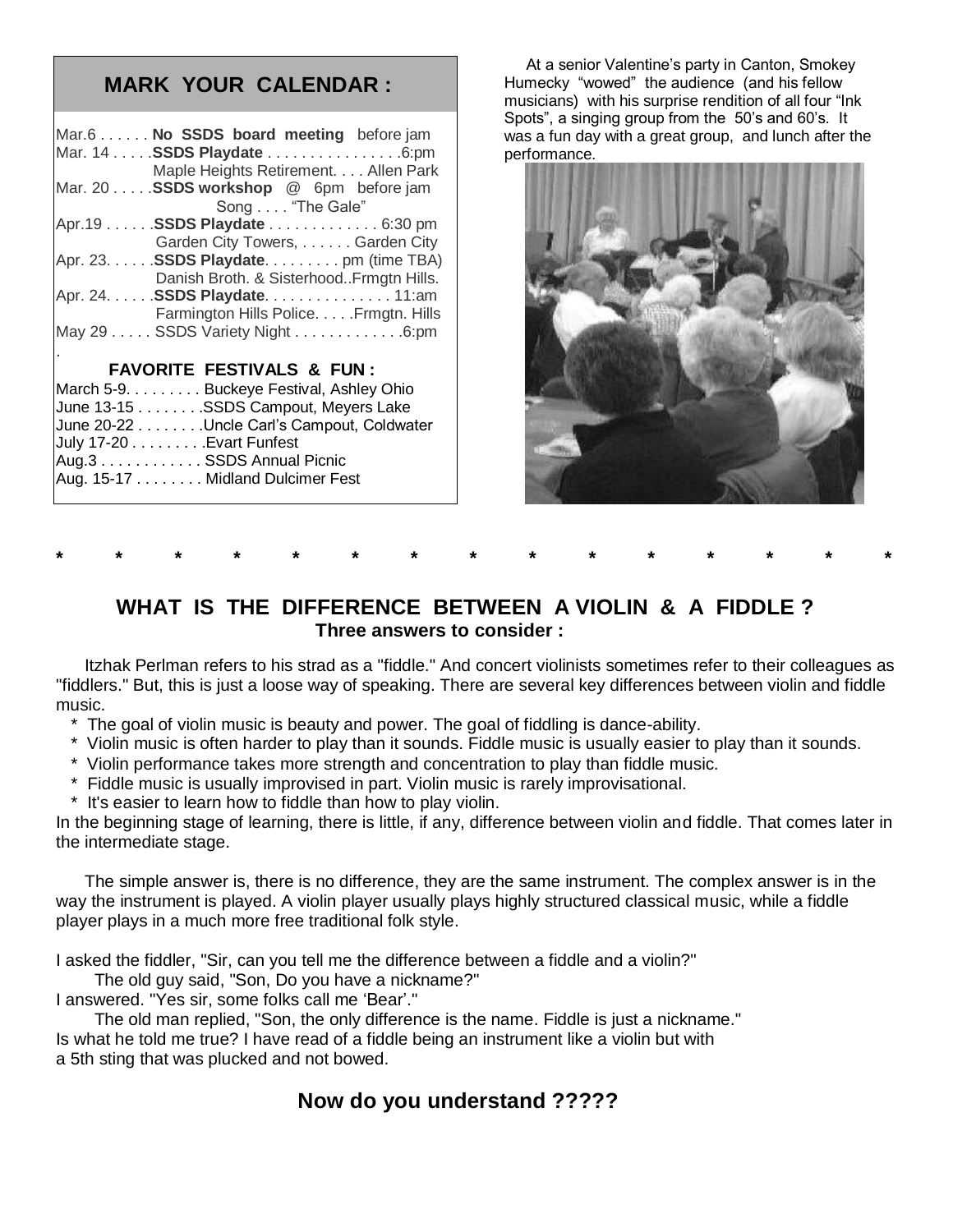# **MARK YOUR CALENDAR :**

| Mar.6 No SSDS board meeting before jam     |  |  |  |  |
|--------------------------------------------|--|--|--|--|
| Mar. 14 SSDS Playdate 6:pm                 |  |  |  |  |
| Maple Heights Retirement. Allen Park       |  |  |  |  |
| Mar. 20 SSDS workshop @ 6pm before jam     |  |  |  |  |
| Song "The Gale"                            |  |  |  |  |
| Apr.19 SSDS Playdate 6:30 pm               |  |  |  |  |
| Garden City Towers, Garden City            |  |  |  |  |
| Apr. 23. SSDS Playdate. pm (time TBA)      |  |  |  |  |
| Danish Broth. & SisterhoodFrmgtn Hills.    |  |  |  |  |
| Apr. 24. SSDS Playdate. 11:am              |  |  |  |  |
| Farmington Hills Police. Frmgtn. Hills     |  |  |  |  |
| May 29 SSDS Variety Night 6:pm             |  |  |  |  |
|                                            |  |  |  |  |
| <b>FAVORITE FESTIVALS &amp; FUN:</b>       |  |  |  |  |
| March 5-9. Buckeye Festival, Ashley Ohio   |  |  |  |  |
| June 13-15 SSDS Campout, Meyers Lake       |  |  |  |  |
| June 20-22 Uncle Carl's Campout, Coldwater |  |  |  |  |
| July 17-20 Evart Funfest                   |  |  |  |  |
| Aug.3 SSDS Annual Picnic                   |  |  |  |  |
| Aug. 15-17 Midland Dulcimer Fest           |  |  |  |  |

 At a senior Valentine's party in Canton, Smokey Humecky "wowed" the audience (and his fellow musicians) with his surprise rendition of all four "Ink Spots", a singing group from the 50's and 60's. It was a fun day with a great group, and lunch after the performance.



# **WHAT IS THE DIFFERENCE BETWEEN A VIOLIN & A FIDDLE ? Three answers to consider :**

**\* \* \* \* \* \* \* \* \* \* \* \* \* \* \***

 Itzhak Perlman refers to his strad as a "fiddle." And concert violinists sometimes refer to their colleagues as "fiddlers." But, this is just a loose way of speaking. There are several key differences between violin and fiddle music.

- \* The goal of violin music is beauty and power. The goal of fiddling is dance-ability.
- \* Violin music is often harder to play than it sounds. Fiddle music is usually easier to play than it sounds.
- \* Violin performance takes more strength and concentration to play than fiddle music.
- \* Fiddle music is usually improvised in part. Violin music is rarely improvisational.
- \* It's easier to learn how to fiddle than how to play violin.

In the beginning stage of learning, there is little, if any, difference between violin and fiddle. That comes later in the intermediate stage.

 The simple answer is, there is no difference, they are the same instrument. The complex answer is in the way the instrument is played. A violin player usually plays highly structured classical music, while a fiddle player plays in a much more free traditional folk style.

I asked the fiddler, "Sir, can you tell me the difference between a fiddle and a violin?"

The old guy said, "Son, Do you have a nickname?"

I answered. "Yes sir, some folks call me 'Bear'."

 The old man replied, "Son, the only difference is the name. Fiddle is just a nickname." Is what he told me true? I have read of a fiddle being an instrument like a violin but with a 5th sting that was plucked and not bowed.

# **Now do you understand ?????**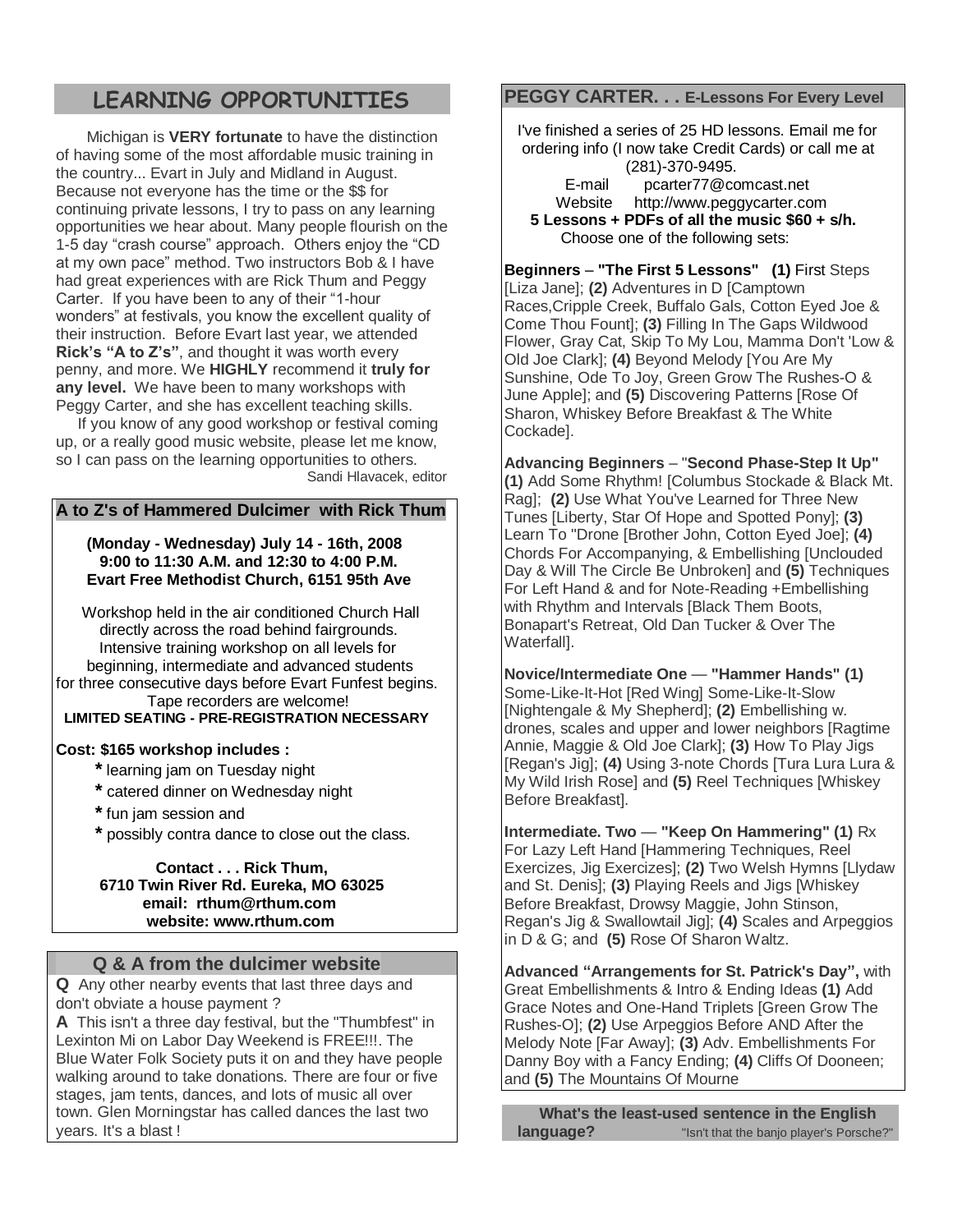# **LEARNING OPPORTUNITIES**

 Michigan is **VERY fortunate** to have the distinction of having some of the most affordable music training in the country... Evart in July and Midland in August. Because not everyone has the time or the \$\$ for continuing private lessons, I try to pass on any learning opportunities we hear about. Many people flourish on the 1-5 day "crash course" approach. Others enjoy the "CD at my own pace" method. Two instructors Bob & I have had great experiences with are Rick Thum and Peggy Carter. If you have been to any of their "1-hour wonders" at festivals, you know the excellent quality of their instruction. Before Evart last year, we attended **Rick"s "A to Z"s"**, and thought it was worth every penny, and more. We **HIGHLY** recommend it **truly for any level.** We have been to many workshops with Peggy Carter, and she has excellent teaching skills.

 If you know of any good workshop or festival coming up, or a really good music website, please let me know, so I can pass on the learning opportunities to others. Sandi Hlavacek, editor

### **A to Z's of Hammered Dulcimer with Rick Thum**

### **(Monday - Wednesday) July 14 - 16th, 2008 9:00 to 11:30 A.M. and 12:30 to 4:00 P.M. Evart Free Methodist Church, 6151 95th Ave**

 Workshop held in the air conditioned Church Hall directly across the road behind fairgrounds. Intensive training workshop on all levels for beginning, intermediate and advanced students for three consecutive days before Evart Funfest begins. Tape recorders are welcome!  **LIMITED SEATING - PRE-REGISTRATION NECESSARY**

## **Cost: \$165 workshop includes :**

- **\*** learning jam on Tuesday night
- **\*** catered dinner on Wednesday night
- **\*** fun jam session and
- **\*** possibly contra dance to close out the class.

 **Contact . . . Rick Thum, 6710 Twin River Rd. Eureka, MO 63025 email: [rthum@rthum.com](mailto:rthum@rthum.com) website: www.rthum.com**

## **Q & A from the dulcimer website**

**Q** Any other nearby events that last three days and don't obviate a house payment ?

**A** This isn't a three day festival, but the "Thumbfest" in Lexinton Mi on Labor Day Weekend is FREE!!!. The Blue Water Folk Society puts it on and they have people walking around to take donations. There are four or five stages, jam tents, dances, and lots of music all over town. Glen Morningstar has called dances the last two years. It's a blast !

# **PEGGY CARTER. . . E-Lessons For Every Level**

 I've finished a series of 25 HD lessons. Email me for ordering info (I now take Credit Cards) or call me at (281)-370-9495.

E-mail pcarter77@comcast.net

 Website [http://www.peggycarter.com](http://www.peggycarter.com/) **5 Lessons + PDFs of all the music \$60 + s/h.** Choose one of the following sets:

**Beginners** – **"The First 5 Lessons" (1)** First Steps [Liza Jane]; **(2)** Adventures in D [Camptown Races,Cripple Creek, Buffalo Gals, Cotton Eyed Joe & Come Thou Fount]; **(3)** Filling In The Gaps Wildwood Flower, Gray Cat, Skip To My Lou, Mamma Don't 'Low & Old Joe Clark]; **(4)** Beyond Melody [You Are My Sunshine, Ode To Joy, Green Grow The Rushes-O & June Apple]; and **(5)** Discovering Patterns [Rose Of Sharon, Whiskey Before Breakfast & The White Cockade].

**Advancing Beginners** – "**Second Phase-Step It Up" (1)** Add Some Rhythm! [Columbus Stockade & Black Mt. Rag]; **(2)** Use What You've Learned for Three New Tunes [Liberty, Star Of Hope and Spotted Pony]; **(3)** Learn To "Drone [Brother John, Cotton Eyed Joe]; **(4)** Chords For Accompanying, & Embellishing [Unclouded Day & Will The Circle Be Unbroken] and **(5)** Techniques For Left Hand & and for Note-Reading +Embellishing with Rhythm and Intervals [Black Them Boots, Bonapart's Retreat, Old Dan Tucker & Over The Waterfall].

**Novice/Intermediate One** — **"Hammer Hands" (1)** Some-Like-It-Hot [Red Wing] Some-Like-It-Slow [Nightengale & My Shepherd]; **(2)** Embellishing w. drones, scales and upper and lower neighbors [Ragtime Annie, Maggie & Old Joe Clark]; **(3)** How To Play Jigs [Regan's Jig]; **(4)** Using 3-note Chords [Tura Lura Lura & My Wild Irish Rose] and **(5)** Reel Techniques [Whiskey Before Breakfast].

**Intermediate. Two** — **"Keep On Hammering" (1)** Rx For Lazy Left Hand [Hammering Techniques, Reel Exercizes, Jig Exercizes]; **(2)** Two Welsh Hymns [Llydaw and St. Denis]; **(3)** Playing Reels and Jigs [Whiskey Before Breakfast, Drowsy Maggie, John Stinson, Regan's Jig & Swallowtail Jig]; **(4)** Scales and Arpeggios in D & G; and **(5)** Rose Of Sharon Waltz.

**Advanced "Arrangements for St. Patrick's Day",** with Great Embellishments & Intro & Ending Ideas **(1)** Add Grace Notes and One-Hand Triplets [Green Grow The Rushes-O]; **(2)** Use Arpeggios Before AND After the Melody Note [Far Away]; **(3)** Adv. Embellishments For Danny Boy with a Fancy Ending; **(4)** Cliffs Of Dooneen; and **(5)** The Mountains Of Mourne

 **What's the least-used sentence in the English language? In that the banjo player's Porsche?"**